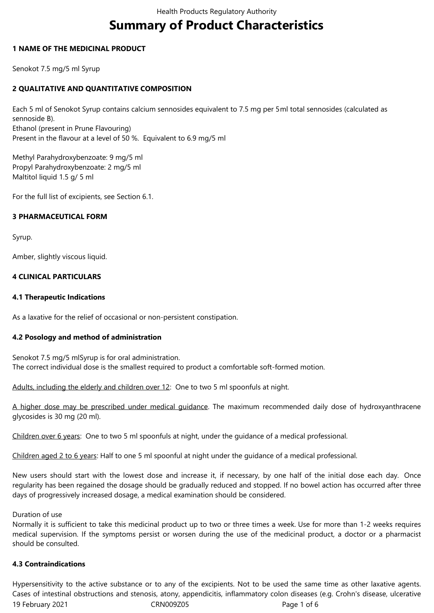# **Summary of Product Characteristics**

## **1 NAME OF THE MEDICINAL PRODUCT**

Senokot 7.5 mg/5 ml Syrup

# **2 QUALITATIVE AND QUANTITATIVE COMPOSITION**

Each 5 ml of Senokot Syrup contains calcium sennosides equivalent to 7.5 mg per 5ml total sennosides (calculated as sennoside B). Ethanol (present in Prune Flavouring) Present in the flavour at a level of 50 %. Equivalent to 6.9 mg/5 ml

Methyl Parahydroxybenzoate: 9 mg/5 ml Propyl Parahydroxybenzoate: 2 mg/5 ml Maltitol liquid 1.5 g/ 5 ml

For the full list of excipients, see Section 6.1.

## **3 PHARMACEUTICAL FORM**

Syrup.

Amber, slightly viscous liquid.

## **4 CLINICAL PARTICULARS**

## **4.1 Therapeutic Indications**

As a laxative for the relief of occasional or non-persistent constipation.

# **4.2 Posology and method of administration**

Senokot 7.5 mg/5 mlSyrup is for oral administration. The correct individual dose is the smallest required to product a comfortable soft-formed motion.

Adults, including the elderly and children over 12: One to two 5 ml spoonfuls at night.

A higher dose may be prescribed under medical guidance. The maximum recommended daily dose of hydroxyanthracene glycosides is 30 mg (20 ml).

Children over 6 years: One to two 5 ml spoonfuls at night, under the guidance of a medical professional.

Children aged 2 to 6 years: Half to one 5 ml spoonful at night under the guidance of a medical professional.

New users should start with the lowest dose and increase it, if necessary, by one half of the initial dose each day. Once regularity has been regained the dosage should be gradually reduced and stopped. If no bowel action has occurred after three days of progressively increased dosage, a medical examination should be considered.

#### Duration of use

Normally it is sufficient to take this medicinal product up to two or three times a week. Use for more than 1-2 weeks requires medical supervision. If the symptoms persist or worsen during the use of the medicinal product, a doctor or a pharmacist should be consulted.

#### **4.3 Contraindications**

19 February 2021 CRN009Z05 Page 1 of 6 Hypersensitivity to the active substance or to any of the excipients. Not to be used the same time as other laxative agents. Cases of intestinal obstructions and stenosis, atony, appendicitis, inflammatory colon diseases (e.g. Crohn's disease, ulcerative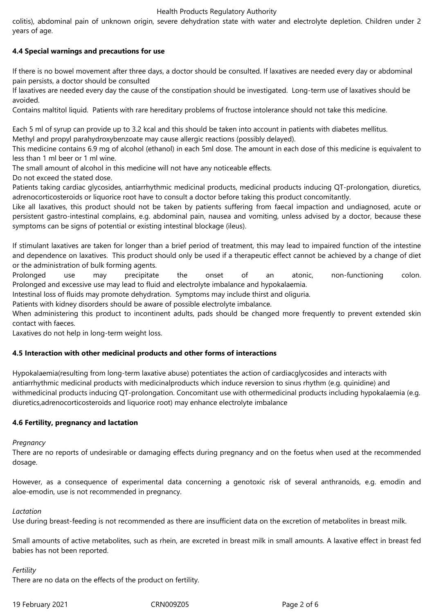#### Health Products Regulatory Authority

colitis), abdominal pain of unknown origin, severe dehydration state with water and electrolyte depletion. Children under 2 years of age.

# **4.4 Special warnings and precautions for use**

If there is no bowel movement after three days, a doctor should be consulted. If laxatives are needed every day or abdominal pain persists, a doctor should be consulted

If laxatives are needed every day the cause of the constipation should be investigated. Long-term use of laxatives should be avoided.

Contains maltitol liquid. Patients with rare hereditary problems of fructose intolerance should not take this medicine.

Each 5 ml of syrup can provide up to 3.2 kcal and this should be taken into account in patients with diabetes mellitus. Methyl and propyl parahydroxybenzoate may cause allergic reactions (possibly delayed).

This medicine contains 6.9 mg of alcohol (ethanol) in each 5ml dose. The amount in each dose of this medicine is equivalent to less than 1 ml beer or 1 ml wine.

The small amount of alcohol in this medicine will not have any noticeable effects.

Do not exceed the stated dose.

Patients taking cardiac glycosides, antiarrhythmic medicinal products, medicinal products inducing QT-prolongation, diuretics, adrenocorticosteroids or liquorice root have to consult a doctor before taking this product concomitantly.

Like all laxatives, this product should not be taken by patients suffering from faecal impaction and undiagnosed, acute or persistent gastro-intestinal complains, e.g. abdominal pain, nausea and vomiting, unless advised by a doctor, because these symptoms can be signs of potential or existing intestinal blockage (ileus).

If stimulant laxatives are taken for longer than a brief period of treatment, this may lead to impaired function of the intestine and dependence on laxatives. This product should only be used if a therapeutic effect cannot be achieved by a change of diet or the administration of bulk forming agents.

Prolonged use may precipitate the onset of an atonic, non-functioning colon. Prolonged and excessive use may lead to fluid and electrolyte imbalance and hypokalaemia.

Intestinal loss of fluids may promote dehydration. Symptoms may include thirst and oliguria.

Patients with kidney disorders should be aware of possible electrolyte imbalance.

When administering this product to incontinent adults, pads should be changed more frequently to prevent extended skin contact with faeces.

Laxatives do not help in long-term weight loss.

# **4.5 Interaction with other medicinal products and other forms of interactions**

Hypokalaemia(resulting from long-term laxative abuse) potentiates the action of cardiacglycosides and interacts with antiarrhythmic medicinal products with medicinalproducts which induce reversion to sinus rhythm (e.g. quinidine) and withmedicinal products inducing QT-prolongation. Concomitant use with othermedicinal products including hypokalaemia (e.g. diuretics,adrenocorticosteroids and liquorice root) may enhance electrolyte imbalance

#### **4.6 Fertility, pregnancy and lactation**

#### *Pregnancy*

There are no reports of undesirable or damaging effects during pregnancy and on the foetus when used at the recommended dosage.

However, as a consequence of experimental data concerning a genotoxic risk of several anthranoids, e.g. emodin and aloe-emodin, use is not recommended in pregnancy.

*Lactation*

Use during breast-feeding is not recommended as there are insufficient data on the excretion of metabolites in breast milk.

Small amounts of active metabolites, such as rhein, are excreted in breast milk in small amounts. A laxative effect in breast fed babies has not been reported.

#### *Fertility*

There are no data on the effects of the product on fertility.

19 February 2021 CRN009Z05 Page 2 of 6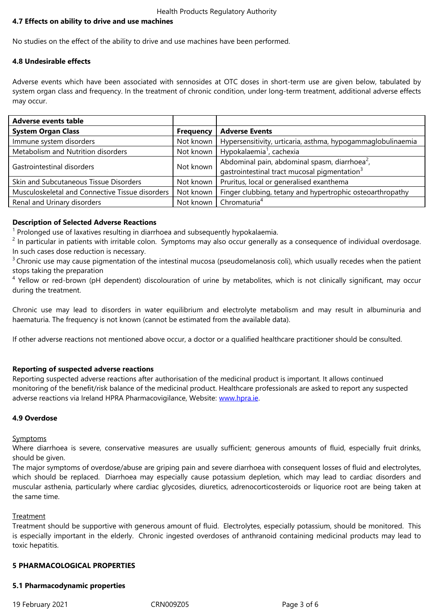No studies on the effect of the ability to drive and use machines have been performed.

#### **4.8 Undesirable effects**

Adverse events which have been associated with sennosides at OTC doses in short-term use are given below, tabulated by system organ class and frequency. In the treatment of chronic condition, under long-term treatment, additional adverse effects may occur.

| <b>Adverse events table</b>                     |                  |                                                             |
|-------------------------------------------------|------------------|-------------------------------------------------------------|
| <b>System Organ Class</b>                       | <b>Frequency</b> | <b>Adverse Events</b>                                       |
| Immune system disorders                         | Not known        | Hypersensitivity, urticaria, asthma, hypogammaglobulinaemia |
| Metabolism and Nutrition disorders              | Not known        | Hypokalaemia <sup>1</sup> , cachexia                        |
| Gastrointestinal disorders                      | Not known        | Abdominal pain, abdominal spasm, diarrhoea <sup>2</sup> ,   |
|                                                 |                  | gastrointestinal tract mucosal pigmentation <sup>3</sup>    |
| Skin and Subcutaneous Tissue Disorders          | Not known        | Pruritus, local or generalised exanthema                    |
| Musculoskeletal and Connective Tissue disorders | Not known        | Finger clubbing, tetany and hypertrophic osteoarthropathy   |
| Renal and Urinary disorders                     | Not known        | Chromaturia <sup>4</sup>                                    |

#### **Description of Selected Adverse Reactions**

<sup>1</sup> Prolonged use of laxatives resulting in diarrhoea and subsequently hypokalaemia.

 $2$  In particular in patients with irritable colon. Symptoms may also occur generally as a consequence of individual overdosage. In such cases dose reduction is necessary.

 $3$  Chronic use may cause pigmentation of the intestinal mucosa (pseudomelanosis coli), which usually recedes when the patient stops taking the preparation

<sup>4</sup> Yellow or red-brown (pH dependent) discolouration of urine by metabolites, which is not clinically significant, may occur during the treatment.

Chronic use may lead to disorders in water equilibrium and electrolyte metabolism and may result in albuminuria and haematuria. The frequency is not known (cannot be estimated from the available data).

If other adverse reactions not mentioned above occur, a doctor or a qualified healthcare practitioner should be consulted.

#### **Reporting of suspected adverse reactions**

Reporting suspected adverse reactions after authorisation of the medicinal product is important. It allows continued monitoring of the benefit/risk balance of the medicinal product. Healthcare professionals are asked to report any suspected adverse reactions via Ireland HPRA Pharmacovigilance, Website: www.hpra.ie.

# **4.9 Overdose**

**Symptoms** 

Where diarrhoea is severe, conservative measures are usually sufficient; generous amounts of fluid, especially fruit drinks, should be given.

The major symptoms of overdose/abuse are griping pain and severe diarrhoea with consequent losses of fluid and electrolytes, which should be replaced. Diarrhoea may especially cause potassium depletion, which may lead to cardiac disorders and muscular asthenia, particularly where cardiac glycosides, diuretics, adrenocorticosteroids or liquorice root are being taken at the same time.

#### **Treatment**

Treatment should be supportive with generous amount of fluid. Electrolytes, especially potassium, should be monitored. This is especially important in the elderly. Chronic ingested overdoses of anthranoid containing medicinal products may lead to toxic hepatitis.

# **5 PHARMACOLOGICAL PROPERTIES**

#### **5.1 Pharmacodynamic properties**

19 February 2021 CRN009Z05 Page 3 of 6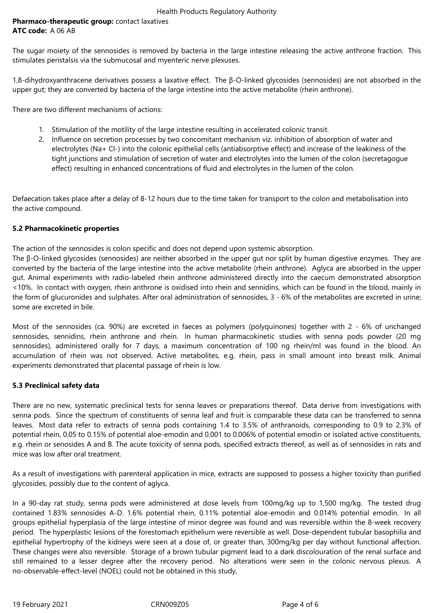# **Pharmaco-therapeutic group:** contact laxatives **ATC code:** A 06 AB

The sugar moiety of the sennosides is removed by bacteria in the large intestine releasing the active anthrone fraction. This stimulates peristalsis via the submucosal and myenteric nerve plexuses.

1,8-dihydroxyanthracene derivatives possess a laxative effect. The β-O-linked glycosides (sennosides) are not absorbed in the upper gut; they are converted by bacteria of the large intestine into the active metabolite (rhein anthrone).

There are two different mechanisms of actions:

- 1. Stimulation of the motility of the large intestine resulting in accelerated colonic transit.
- 2. Influence on secretion processes by two concomitant mechanism viz. inhibition of absorption of water and electrolytes (Na+ Cl-) into the colonic epithelial cells (antiabsorptive effect) and increase of the leakiness of the tight junctions and stimulation of secretion of water and electrolytes into the lumen of the colon (secretagogue effect) resulting in enhanced concentrations of fluid and electrolytes in the lumen of the colon.

Defaecation takes place after a delay of 8-12 hours due to the time taken for transport to the colon and metabolisation into the active compound.

## **5.2 Pharmacokinetic properties**

The action of the sennosides is colon specific and does not depend upon systemic absorption.

The β-O-linked glycosides (sennosides) are neither absorbed in the upper gut nor split by human digestive enzymes. They are converted by the bacteria of the large intestine into the active metabolite (rhein anthrone). Aglyca are absorbed in the upper gut. Animal experiments with radio-labeled rhein anthrone administered directly into the caecum demonstrated absorption <10%. In contact with oxygen, rhein anthrone is oxidised into rhein and sennidins, which can be found in the blood, mainly in the form of glucuronides and sulphates. After oral administration of sennosides, 3 - 6% of the metabolites are excreted in urine; some are excreted in bile.

Most of the sennosides (ca. 90%) are excreted in faeces as polymers (polyquinones) together with 2 - 6% of unchanged sennosides, sennidins, rhein anthrone and rhein. In human pharmacokinetic studies with senna pods powder (20 mg sennosides), administered orally for 7 days, a maximum concentration of 100 ng rhein/ml was found in the blood. An accumulation of rhein was not observed. Active metabolites, e.g. rhein, pass in small amount into breast milk. Animal experiments demonstrated that placental passage of rhein is low.

#### **5.3 Preclinical safety data**

There are no new, systematic preclinical tests for senna leaves or preparations thereof. Data derive from investigations with senna pods. Since the spectrum of constituents of senna leaf and fruit is comparable these data can be transferred to senna leaves. Most data refer to extracts of senna pods containing 1.4 to 3.5% of anthranoids, corresponding to 0.9 to 2.3% of potential rhein, 0.05 to 0.15% of potential aloe-emodin and 0.001 to 0.006% of potential emodin or isolated active constituents, e.g. rhein or senosides A and B. The acute toxicity of senna pods, specified extracts thereof, as well as of sennosides in rats and mice was low after oral treatment.

As a result of investigations with parenteral application in mice, extracts are supposed to possess a higher toxicity than purified glycosides, possibly due to the content of aglyca.

In a 90-day rat study, senna pods were administered at dose levels from 100mg/kg up to 1,500 mg/kg. The tested drug contained 1.83% sennosides A-D. 1.6% potential rhein, 0.11% potential aloe-emodin and 0.014% potential emodin. In all groups epithelial hyperplasia of the large intestine of minor degree was found and was reversible within the 8-week recovery period. The hyperplastic lesions of the forestomach epithelium were reversible as well. Dose-dependent tubular basophilia and epithelial hypertrophy of the kidneys were seen at a dose of, or greater than, 300mg/kg per day without functional affection. These changes were also reversible. Storage of a brown tubular pigment lead to a dark discolouration of the renal surface and still remained to a lesser degree after the recovery period. No alterations were seen in the colonic nervous plexus. A no-observable-effect-level (NOEL) could not be obtained in this study,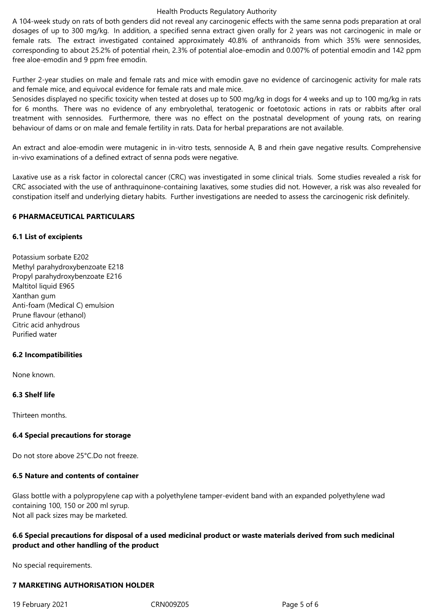#### Health Products Regulatory Authority

A 104-week study on rats of both genders did not reveal any carcinogenic effects with the same senna pods preparation at oral dosages of up to 300 mg/kg. In addition, a specified senna extract given orally for 2 years was not carcinogenic in male or female rats. The extract investigated contained approximately 40.8% of anthranoids from which 35% were sennosides, corresponding to about 25.2% of potential rhein, 2.3% of potential aloe-emodin and 0.007% of potential emodin and 142 ppm free aloe-emodin and 9 ppm free emodin.

Further 2-year studies on male and female rats and mice with emodin gave no evidence of carcinogenic activity for male rats and female mice, and equivocal evidence for female rats and male mice.

Senosides displayed no specific toxicity when tested at doses up to 500 mg/kg in dogs for 4 weeks and up to 100 mg/kg in rats for 6 months. There was no evidence of any embryolethal, teratogenic or foetotoxic actions in rats or rabbits after oral treatment with sennosides. Furthermore, there was no effect on the postnatal development of young rats, on rearing behaviour of dams or on male and female fertility in rats. Data for herbal preparations are not available.

An extract and aloe-emodin were mutagenic in in-vitro tests, sennoside A, B and rhein gave negative results. Comprehensive in-vivo examinations of a defined extract of senna pods were negative.

Laxative use as a risk factor in colorectal cancer (CRC) was investigated in some clinical trials. Some studies revealed a risk for CRC associated with the use of anthraquinone-containing laxatives, some studies did not. However, a risk was also revealed for constipation itself and underlying dietary habits. Further investigations are needed to assess the carcinogenic risk definitely.

#### **6 PHARMACEUTICAL PARTICULARS**

## **6.1 List of excipients**

Potassium sorbate E202 Methyl parahydroxybenzoate E218 Propyl parahydroxybenzoate E216 Maltitol liquid E965 Xanthan gum Anti-foam (Medical C) emulsion Prune flavour (ethanol) Citric acid anhydrous Purified water

# **6.2 Incompatibilities**

None known.

# **6.3 Shelf life**

Thirteen months.

# **6.4 Special precautions for storage**

Do not store above 25°C.Do not freeze.

# **6.5 Nature and contents of container**

Glass bottle with a polypropylene cap with a polyethylene tamper-evident band with an expanded polyethylene wad containing 100, 150 or 200 ml syrup. Not all pack sizes may be marketed.

# **6.6 Special precautions for disposal of a used medicinal product or waste materials derived from such medicinal product and other handling of the product**

No special requirements.

# **7 MARKETING AUTHORISATION HOLDER**

19 February 2021 CRN009Z05 Page 5 of 6